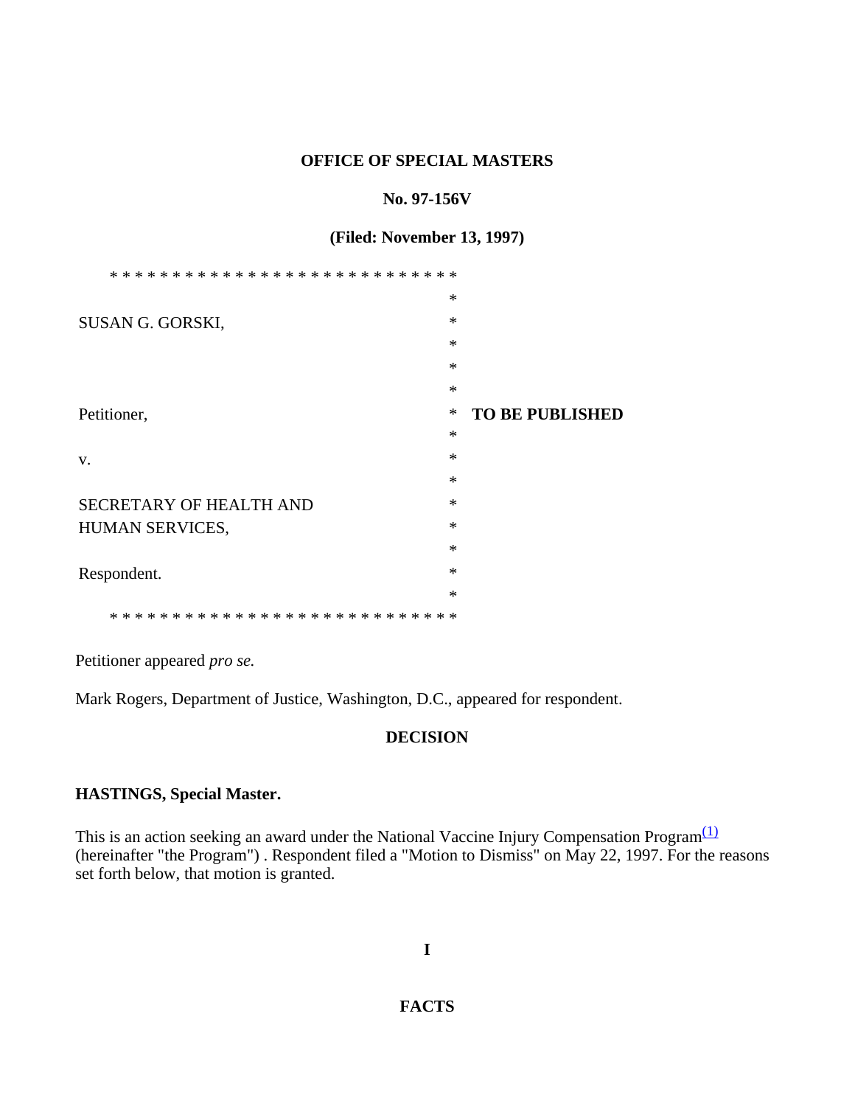#### **OFFICE OF SPECIAL MASTERS**

#### **No. 97-156V**

### **(Filed: November 13, 1997)**

|                         | ∗      |                        |
|-------------------------|--------|------------------------|
| SUSAN G. GORSKI,        | $\ast$ |                        |
|                         | $\ast$ |                        |
|                         | $\ast$ |                        |
|                         | $\ast$ |                        |
| Petitioner,             | ∗      | <b>TO BE PUBLISHED</b> |
|                         | $\ast$ |                        |
| V.                      | $\ast$ |                        |
|                         | $\ast$ |                        |
| SECRETARY OF HEALTH AND | $\ast$ |                        |
| HUMAN SERVICES,         | $\ast$ |                        |
|                         | $\ast$ |                        |
| Respondent.             | $\ast$ |                        |
|                         | $\ast$ |                        |
| $\ast$<br>* *<br>∗      |        |                        |

Petitioner appeared *pro se.*

Mark Rogers, Department of Justice, Washington, D.C., appeared for respondent.

### **DECISION**

# **HASTINGS, Special Master.**

This is an action seeking an award under the National Vaccine Injury Compensation Program $\frac{(1)}{1}$ (hereinafter "the Program") . Respondent filed a "Motion to Dismiss" on May 22, 1997. For the reasons set forth below, that motion is granted.

**I**

# **FACTS**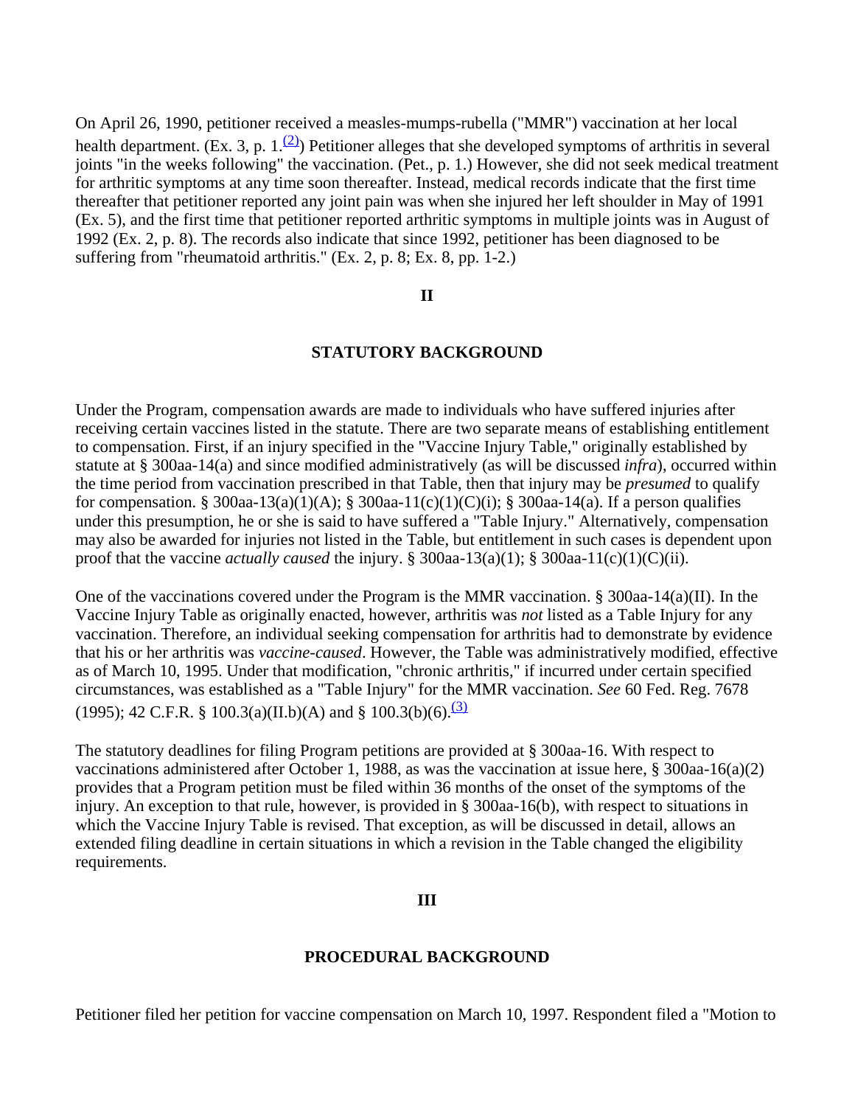On April 26, 1990, petitioner received a measles-mumps-rubella ("MMR") vaccination at her local health department. (Ex. 3, p. 1. $(2)$ ) Petitioner alleges that she developed symptoms of arthritis in several joints "in the weeks following" the vaccination. (Pet., p. 1.) However, she did not seek medical treatment for arthritic symptoms at any time soon thereafter. Instead, medical records indicate that the first time thereafter that petitioner reported any joint pain was when she injured her left shoulder in May of 1991 (Ex. 5), and the first time that petitioner reported arthritic symptoms in multiple joints was in August of 1992 (Ex. 2, p. 8). The records also indicate that since 1992, petitioner has been diagnosed to be suffering from "rheumatoid arthritis." (Ex. 2, p. 8; Ex. 8, pp. 1-2.)

#### **II**

#### **STATUTORY BACKGROUND**

Under the Program, compensation awards are made to individuals who have suffered injuries after receiving certain vaccines listed in the statute. There are two separate means of establishing entitlement to compensation. First, if an injury specified in the "Vaccine Injury Table," originally established by statute at § 300aa-14(a) and since modified administratively (as will be discussed *infra*), occurred within the time period from vaccination prescribed in that Table, then that injury may be *presumed* to qualify for compensation. § 300aa-13(a)(1)(A); § 300aa-11(c)(1)(C)(i); § 300aa-14(a). If a person qualifies under this presumption, he or she is said to have suffered a "Table Injury." Alternatively, compensation may also be awarded for injuries not listed in the Table, but entitlement in such cases is dependent upon proof that the vaccine *actually caused* the injury. § 300aa-13(a)(1); § 300aa-11(c)(1)(C)(ii).

One of the vaccinations covered under the Program is the MMR vaccination. § 300aa-14(a)(II). In the Vaccine Injury Table as originally enacted, however, arthritis was *not* listed as a Table Injury for any vaccination. Therefore, an individual seeking compensation for arthritis had to demonstrate by evidence that his or her arthritis was *vaccine-caused*. However, the Table was administratively modified, effective as of March 10, 1995. Under that modification, "chronic arthritis," if incurred under certain specified circumstances, was established as a "Table Injury" for the MMR vaccination. *See* 60 Fed. Reg. 7678 (1995); 42 C.F.R. § 100.3(a)(II.b)(A) and § 100.3(b)(6).<sup>(3)</sup>

The statutory deadlines for filing Program petitions are provided at § 300aa-16. With respect to vaccinations administered after October 1, 1988, as was the vaccination at issue here, § 300aa-16(a)(2) provides that a Program petition must be filed within 36 months of the onset of the symptoms of the injury. An exception to that rule, however, is provided in § 300aa-16(b), with respect to situations in which the Vaccine Injury Table is revised. That exception, as will be discussed in detail, allows an extended filing deadline in certain situations in which a revision in the Table changed the eligibility requirements.

#### **III**

#### **PROCEDURAL BACKGROUND**

Petitioner filed her petition for vaccine compensation on March 10, 1997. Respondent filed a "Motion to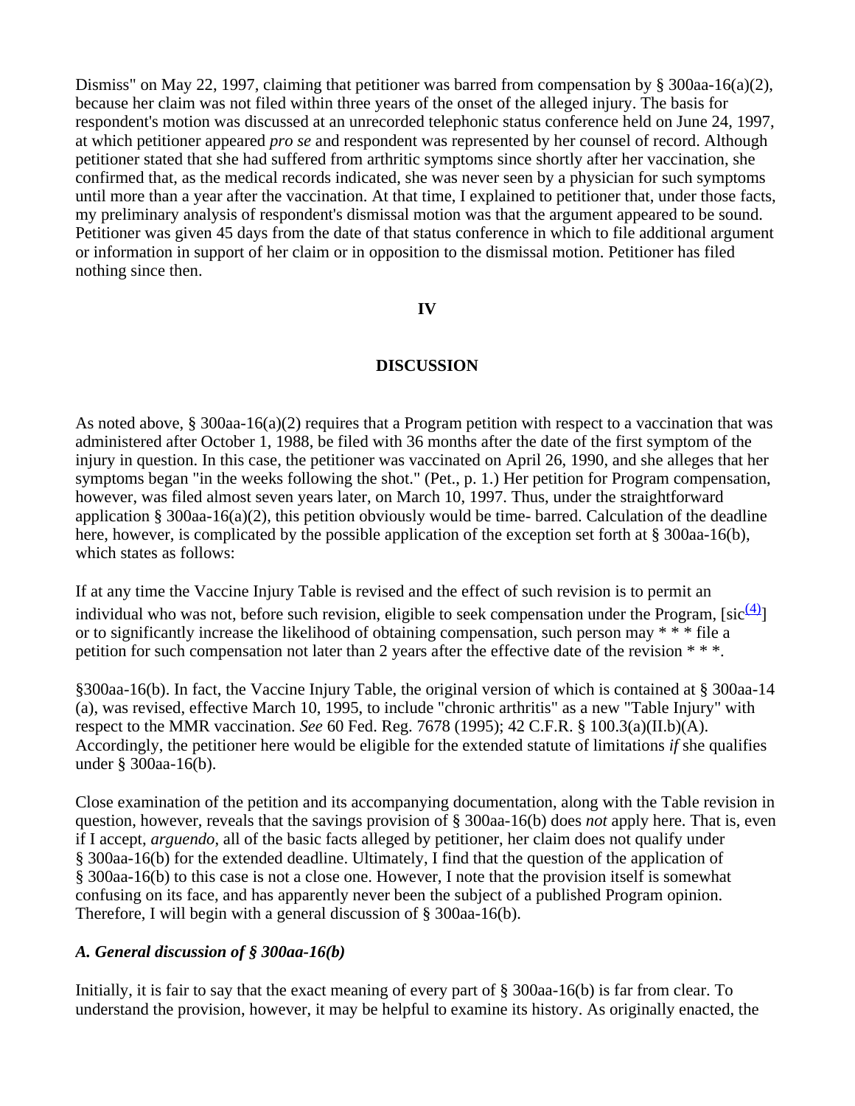Dismiss" on May 22, 1997, claiming that petitioner was barred from compensation by  $\S$  300aa-16(a)(2), because her claim was not filed within three years of the onset of the alleged injury. The basis for respondent's motion was discussed at an unrecorded telephonic status conference held on June 24, 1997, at which petitioner appeared *pro se* and respondent was represented by her counsel of record. Although petitioner stated that she had suffered from arthritic symptoms since shortly after her vaccination, she confirmed that, as the medical records indicated, she was never seen by a physician for such symptoms until more than a year after the vaccination. At that time, I explained to petitioner that, under those facts, my preliminary analysis of respondent's dismissal motion was that the argument appeared to be sound. Petitioner was given 45 days from the date of that status conference in which to file additional argument or information in support of her claim or in opposition to the dismissal motion. Petitioner has filed nothing since then.

## **IV**

## **DISCUSSION**

As noted above,  $\S 300$ aa-16(a)(2) requires that a Program petition with respect to a vaccination that was administered after October 1, 1988, be filed with 36 months after the date of the first symptom of the injury in question. In this case, the petitioner was vaccinated on April 26, 1990, and she alleges that her symptoms began "in the weeks following the shot." (Pet., p. 1.) Her petition for Program compensation, however, was filed almost seven years later, on March 10, 1997. Thus, under the straightforward application § 300aa-16(a)(2), this petition obviously would be time- barred. Calculation of the deadline here, however, is complicated by the possible application of the exception set forth at § 300aa-16(b), which states as follows:

If at any time the Vaccine Injury Table is revised and the effect of such revision is to permit an individual who was not, before such revision, eligible to seek compensation under the Program, [sic $\frac{(4)}{2}$ ] or to significantly increase the likelihood of obtaining compensation, such person may \* \* \* file a petition for such compensation not later than 2 years after the effective date of the revision \* \* \*.

§300aa-16(b). In fact, the Vaccine Injury Table, the original version of which is contained at § 300aa-14 (a), was revised, effective March 10, 1995, to include "chronic arthritis" as a new "Table Injury" with respect to the MMR vaccination. *See* 60 Fed. Reg. 7678 (1995); 42 C.F.R. § 100.3(a)(II.b)(A). Accordingly, the petitioner here would be eligible for the extended statute of limitations *if* she qualifies under § 300aa-16(b).

Close examination of the petition and its accompanying documentation, along with the Table revision in question, however, reveals that the savings provision of § 300aa-16(b) does *not* apply here. That is, even if I accept, *arguendo*, all of the basic facts alleged by petitioner, her claim does not qualify under § 300aa-16(b) for the extended deadline. Ultimately, I find that the question of the application of § 300aa-16(b) to this case is not a close one. However, I note that the provision itself is somewhat confusing on its face, and has apparently never been the subject of a published Program opinion. Therefore, I will begin with a general discussion of § 300aa-16(b).

# *A. General discussion of § 300aa-16(b)*

Initially, it is fair to say that the exact meaning of every part of § 300aa-16(b) is far from clear. To understand the provision, however, it may be helpful to examine its history. As originally enacted, the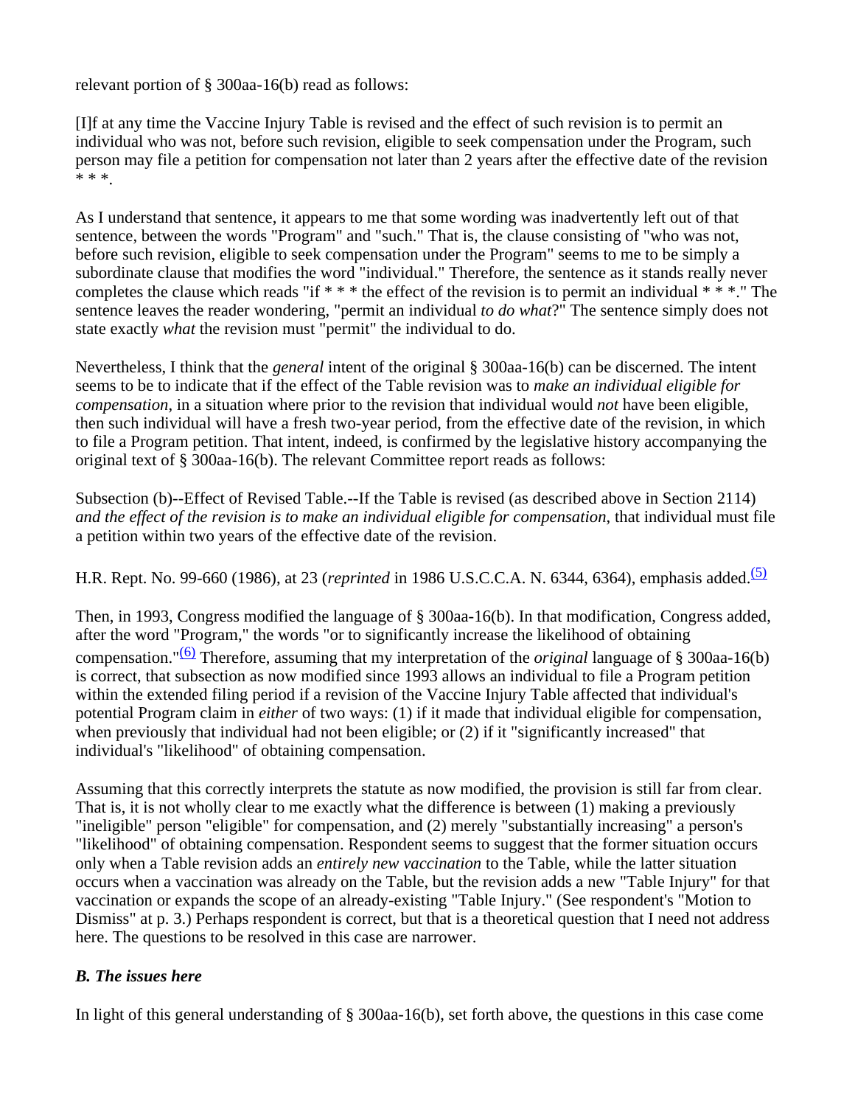relevant portion of § 300aa-16(b) read as follows:

[I]f at any time the Vaccine Injury Table is revised and the effect of such revision is to permit an individual who was not, before such revision, eligible to seek compensation under the Program, such person may file a petition for compensation not later than 2 years after the effective date of the revision \* \* \*.

As I understand that sentence, it appears to me that some wording was inadvertently left out of that sentence, between the words "Program" and "such." That is, the clause consisting of "who was not, before such revision, eligible to seek compensation under the Program" seems to me to be simply a subordinate clause that modifies the word "individual." Therefore, the sentence as it stands really never completes the clause which reads "if \* \* \* the effect of the revision is to permit an individual \* \* \*." The sentence leaves the reader wondering, "permit an individual *to do what*?" The sentence simply does not state exactly *what* the revision must "permit" the individual to do.

Nevertheless, I think that the *general* intent of the original § 300aa-16(b) can be discerned. The intent seems to be to indicate that if the effect of the Table revision was to *make an individual eligible for compensation*, in a situation where prior to the revision that individual would *not* have been eligible, then such individual will have a fresh two-year period, from the effective date of the revision, in which to file a Program petition. That intent, indeed, is confirmed by the legislative history accompanying the original text of § 300aa-16(b). The relevant Committee report reads as follows:

Subsection (b)--Effect of Revised Table.--If the Table is revised (as described above in Section 2114) *and the effect of the revision is to make an individual eligible for compensation*, that individual must file a petition within two years of the effective date of the revision.

H.R. Rept. No. 99-660 (1986), at 23 (*reprinted* in 1986 U.S.C.C.A. N. 6344, 6364), emphasis added.<sup>(5)</sup>

Then, in 1993, Congress modified the language of § 300aa-16(b). In that modification, Congress added, after the word "Program," the words "or to significantly increase the likelihood of obtaining compensation."(6) Therefore, assuming that my interpretation of the *original* language of § 300aa-16(b) is correct, that subsection as now modified since 1993 allows an individual to file a Program petition within the extended filing period if a revision of the Vaccine Injury Table affected that individual's potential Program claim in *either* of two ways: (1) if it made that individual eligible for compensation, when previously that individual had not been eligible; or (2) if it "significantly increased" that individual's "likelihood" of obtaining compensation.

Assuming that this correctly interprets the statute as now modified, the provision is still far from clear. That is, it is not wholly clear to me exactly what the difference is between (1) making a previously "ineligible" person "eligible" for compensation, and (2) merely "substantially increasing" a person's "likelihood" of obtaining compensation. Respondent seems to suggest that the former situation occurs only when a Table revision adds an *entirely new vaccination* to the Table, while the latter situation occurs when a vaccination was already on the Table, but the revision adds a new "Table Injury" for that vaccination or expands the scope of an already-existing "Table Injury." (See respondent's "Motion to Dismiss" at p. 3.) Perhaps respondent is correct, but that is a theoretical question that I need not address here. The questions to be resolved in this case are narrower.

# *B. The issues here*

In light of this general understanding of § 300aa-16(b), set forth above, the questions in this case come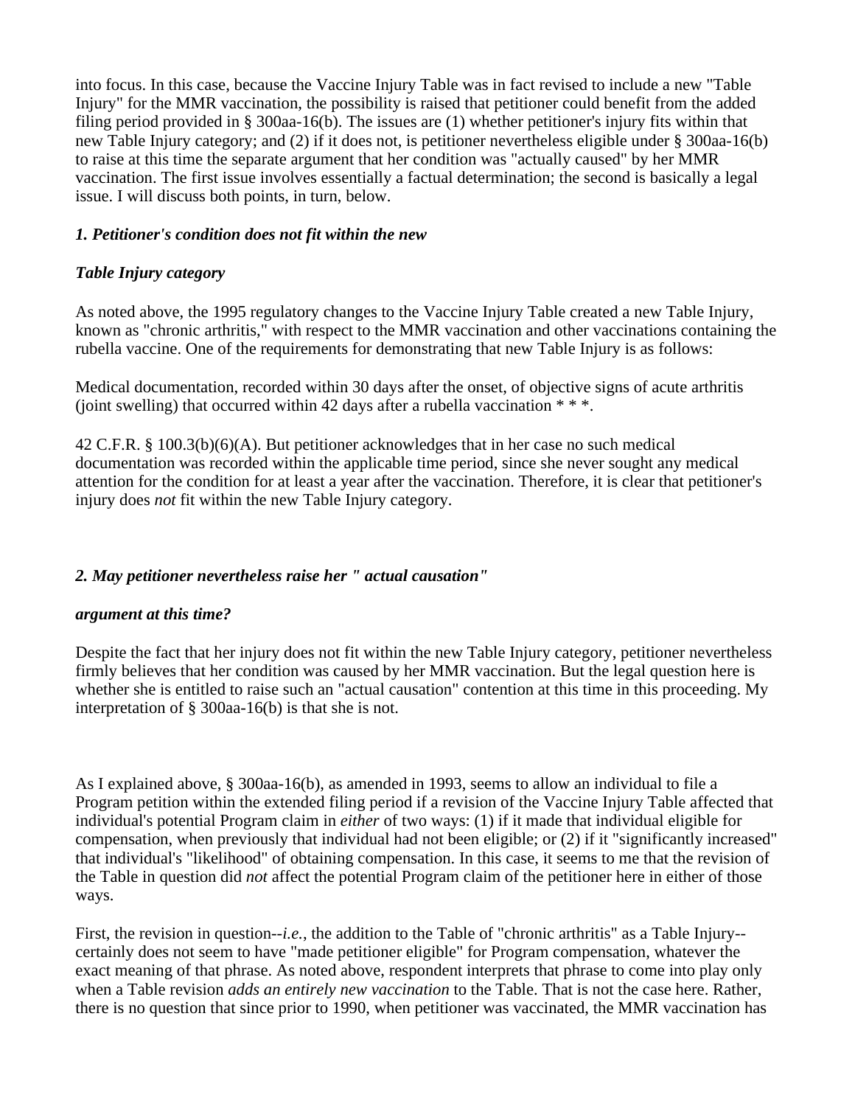into focus. In this case, because the Vaccine Injury Table was in fact revised to include a new "Table Injury" for the MMR vaccination, the possibility is raised that petitioner could benefit from the added filing period provided in § 300aa-16(b). The issues are (1) whether petitioner's injury fits within that new Table Injury category; and (2) if it does not, is petitioner nevertheless eligible under § 300aa-16(b) to raise at this time the separate argument that her condition was "actually caused" by her MMR vaccination. The first issue involves essentially a factual determination; the second is basically a legal issue. I will discuss both points, in turn, below.

## *1. Petitioner's condition does not fit within the new*

# *Table Injury category*

As noted above, the 1995 regulatory changes to the Vaccine Injury Table created a new Table Injury, known as "chronic arthritis," with respect to the MMR vaccination and other vaccinations containing the rubella vaccine. One of the requirements for demonstrating that new Table Injury is as follows:

Medical documentation, recorded within 30 days after the onset, of objective signs of acute arthritis (joint swelling) that occurred within 42 days after a rubella vaccination  $**$ .

42 C.F.R. § 100.3(b)(6)(A). But petitioner acknowledges that in her case no such medical documentation was recorded within the applicable time period, since she never sought any medical attention for the condition for at least a year after the vaccination. Therefore, it is clear that petitioner's injury does *not* fit within the new Table Injury category.

### *2. May petitioner nevertheless raise her " actual causation"*

### *argument at this time?*

Despite the fact that her injury does not fit within the new Table Injury category, petitioner nevertheless firmly believes that her condition was caused by her MMR vaccination. But the legal question here is whether she is entitled to raise such an "actual causation" contention at this time in this proceeding. My interpretation of § 300aa-16(b) is that she is not.

As I explained above, § 300aa-16(b), as amended in 1993, seems to allow an individual to file a Program petition within the extended filing period if a revision of the Vaccine Injury Table affected that individual's potential Program claim in *either* of two ways: (1) if it made that individual eligible for compensation, when previously that individual had not been eligible; or (2) if it "significantly increased" that individual's "likelihood" of obtaining compensation. In this case, it seems to me that the revision of the Table in question did *not* affect the potential Program claim of the petitioner here in either of those ways.

First, the revision in question-*-i.e.*, the addition to the Table of "chronic arthritis" as a Table Injury-certainly does not seem to have "made petitioner eligible" for Program compensation, whatever the exact meaning of that phrase. As noted above, respondent interprets that phrase to come into play only when a Table revision *adds an entirely new vaccination* to the Table. That is not the case here. Rather, there is no question that since prior to 1990, when petitioner was vaccinated, the MMR vaccination has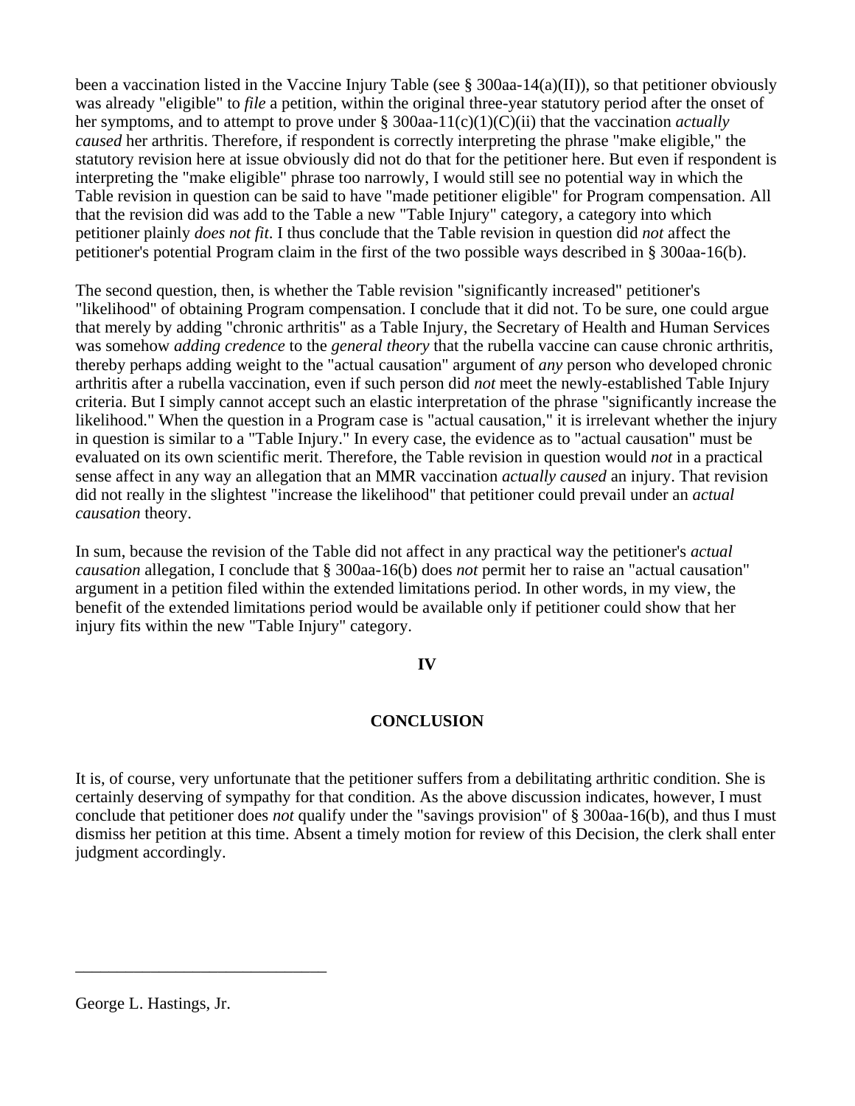been a vaccination listed in the Vaccine Injury Table (see § 300aa-14(a)(II)), so that petitioner obviously was already "eligible" to *file* a petition, within the original three-year statutory period after the onset of her symptoms, and to attempt to prove under § 300aa-11(c)(1)(C)(ii) that the vaccination *actually caused* her arthritis. Therefore, if respondent is correctly interpreting the phrase "make eligible," the statutory revision here at issue obviously did not do that for the petitioner here. But even if respondent is interpreting the "make eligible" phrase too narrowly, I would still see no potential way in which the Table revision in question can be said to have "made petitioner eligible" for Program compensation. All that the revision did was add to the Table a new "Table Injury" category, a category into which petitioner plainly *does not fit*. I thus conclude that the Table revision in question did *not* affect the petitioner's potential Program claim in the first of the two possible ways described in § 300aa-16(b).

The second question, then, is whether the Table revision "significantly increased" petitioner's "likelihood" of obtaining Program compensation. I conclude that it did not. To be sure, one could argue that merely by adding "chronic arthritis" as a Table Injury, the Secretary of Health and Human Services was somehow *adding credence* to the *general theory* that the rubella vaccine can cause chronic arthritis, thereby perhaps adding weight to the "actual causation" argument of *any* person who developed chronic arthritis after a rubella vaccination, even if such person did *not* meet the newly-established Table Injury criteria. But I simply cannot accept such an elastic interpretation of the phrase "significantly increase the likelihood." When the question in a Program case is "actual causation," it is irrelevant whether the injury in question is similar to a "Table Injury." In every case, the evidence as to "actual causation" must be evaluated on its own scientific merit. Therefore, the Table revision in question would *not* in a practical sense affect in any way an allegation that an MMR vaccination *actually caused* an injury. That revision did not really in the slightest "increase the likelihood" that petitioner could prevail under an *actual causation* theory.

In sum, because the revision of the Table did not affect in any practical way the petitioner's *actual causation* allegation, I conclude that § 300aa-16(b) does *not* permit her to raise an "actual causation" argument in a petition filed within the extended limitations period. In other words, in my view, the benefit of the extended limitations period would be available only if petitioner could show that her injury fits within the new "Table Injury" category.

# **IV**

# **CONCLUSION**

It is, of course, very unfortunate that the petitioner suffers from a debilitating arthritic condition. She is certainly deserving of sympathy for that condition. As the above discussion indicates, however, I must conclude that petitioner does *not* qualify under the "savings provision" of § 300aa-16(b), and thus I must dismiss her petition at this time. Absent a timely motion for review of this Decision, the clerk shall enter judgment accordingly.

\_\_\_\_\_\_\_\_\_\_\_\_\_\_\_\_\_\_\_\_\_\_\_\_\_\_\_\_\_\_

George L. Hastings, Jr.